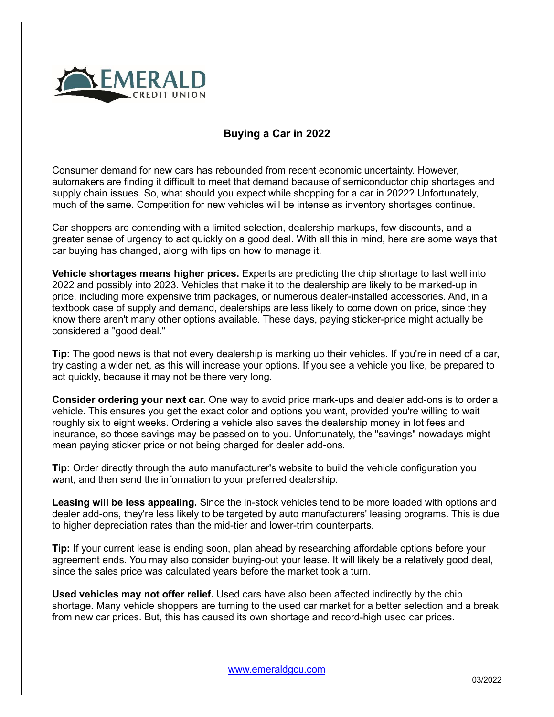

## **Buying a Car in 2022**

Consumer demand for new cars has rebounded from recent economic uncertainty. However, automakers are finding it difficult to meet that demand because of semiconductor chip shortages and supply chain issues. So, what should you expect while shopping for a car in 2022? Unfortunately, much of the same. Competition for new vehicles will be intense as inventory shortages continue.

Car shoppers are contending with a limited selection, dealership markups, few discounts, and a greater sense of urgency to act quickly on a good deal. With all this in mind, here are some ways that car buying has changed, along with tips on how to manage it.

**Vehicle shortages means higher prices.** Experts are predicting the chip shortage to last well into 2022 and possibly into 2023. Vehicles that make it to the dealership are likely to be marked-up in price, including more expensive trim packages, or numerous dealer-installed accessories. And, in a textbook case of supply and demand, dealerships are less likely to come down on price, since they know there aren't many other options available. These days, paying sticker-price might actually be considered a "good deal."

**Tip:** The good news is that not every dealership is marking up their vehicles. If you're in need of a car, try casting a wider net, as this will increase your options. If you see a vehicle you like, be prepared to act quickly, because it may not be there very long.

**Consider ordering your next car.** One way to avoid price mark-ups and dealer add-ons is to order a vehicle. This ensures you get the exact color and options you want, provided you're willing to wait roughly six to eight weeks. Ordering a vehicle also saves the dealership money in lot fees and insurance, so those savings may be passed on to you. Unfortunately, the "savings" nowadays might mean paying sticker price or not being charged for dealer add-ons.

**Tip:** Order directly through the auto manufacturer's website to build the vehicle configuration you want, and then send the information to your preferred dealership.

**Leasing will be less appealing.** Since the in-stock vehicles tend to be more loaded with options and dealer add-ons, they're less likely to be targeted by auto manufacturers' leasing programs. This is due to higher depreciation rates than the mid-tier and lower-trim counterparts.

**Tip:** If your current lease is ending soon, plan ahead by researching affordable options before your agreement ends. You may also consider buying-out your lease. It will likely be a relatively good deal, since the sales price was calculated years before the market took a turn.

**Used vehicles may not offer relief.** Used cars have also been affected indirectly by the chip shortage. Many vehicle shoppers are turning to the used car market for a better selection and a break from new car prices. But, this has caused its own shortage and record-high used car prices.